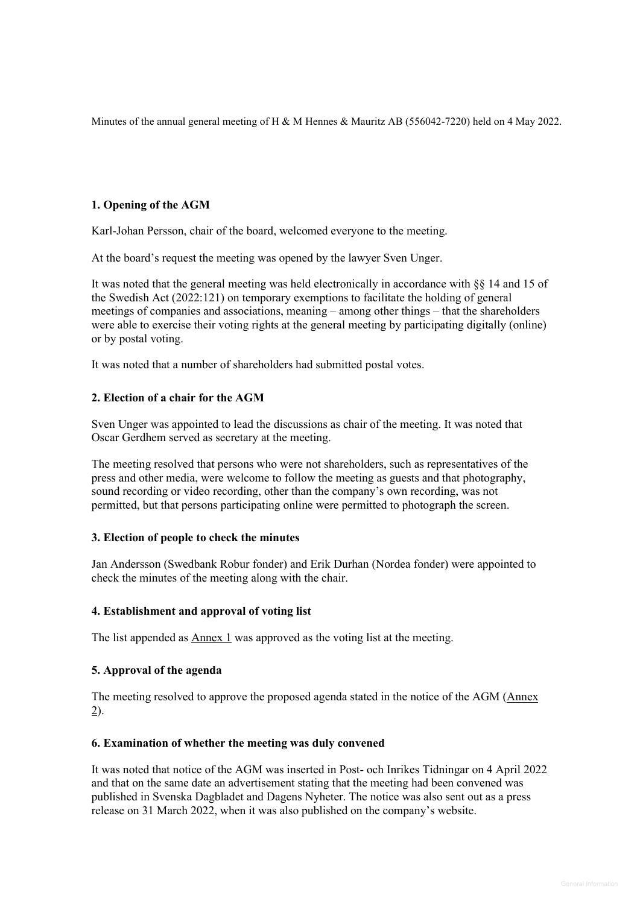Minutes of the annual general meeting of H & M Hennes & Mauritz AB (556042-7220) held on 4 May 2022.

# **1. Opening of the AGM**

Karl-Johan Persson, chair of the board, welcomed everyone to the meeting.

At the board's request the meeting was opened by the lawyer Sven Unger.

It was noted that the general meeting was held electronically in accordance with §§ 14 and 15 of the Swedish Act (2022:121) on temporary exemptions to facilitate the holding of general meetings of companies and associations, meaning – among other things – that the shareholders were able to exercise their voting rights at the general meeting by participating digitally (online) or by postal voting.

It was noted that a number of shareholders had submitted postal votes.

# **2. Election of a chair for the AGM**

Sven Unger was appointed to lead the discussions as chair of the meeting. It was noted that Oscar Gerdhem served as secretary at the meeting.

The meeting resolved that persons who were not shareholders, such as representatives of the press and other media, were welcome to follow the meeting as guests and that photography, sound recording or video recording, other than the company's own recording, was not permitted, but that persons participating online were permitted to photograph the screen.

# **3. Election of people to check the minutes**

Jan Andersson (Swedbank Robur fonder) and Erik Durhan (Nordea fonder) were appointed to check the minutes of the meeting along with the chair.

# **4. Establishment and approval of voting list**

The list appended as  $\Delta$ nnex 1 was approved as the voting list at the meeting.

# **5. Approval of the agenda**

The meeting resolved to approve the proposed agenda stated in the notice of the AGM (Annex 2).

# **6. Examination of whether the meeting was duly convened**

It was noted that notice of the AGM was inserted in Post- och Inrikes Tidningar on 4 April 2022 and that on the same date an advertisement stating that the meeting had been convened was published in Svenska Dagbladet and Dagens Nyheter. The notice was also sent out as a press release on 31 March 2022, when it was also published on the company's website.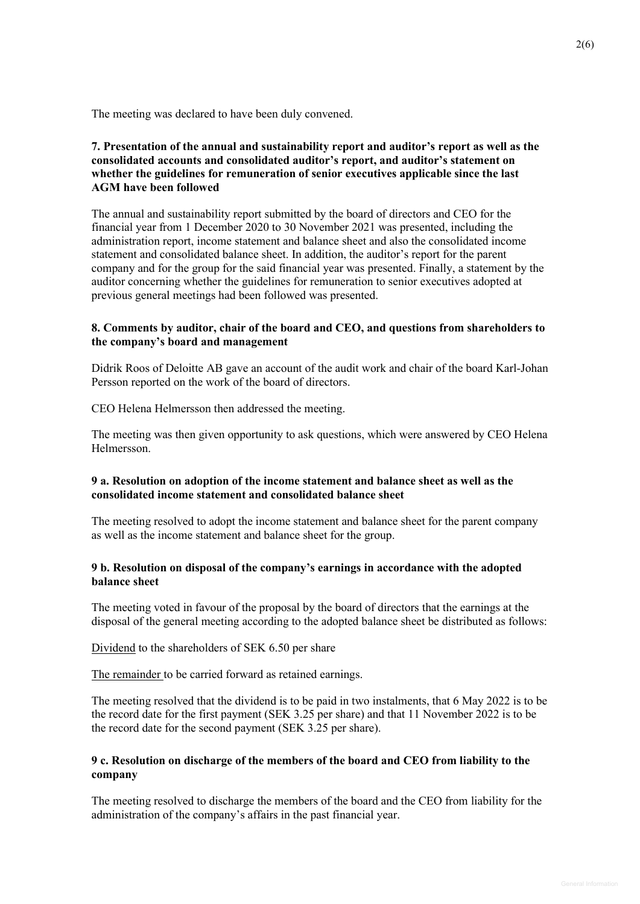The meeting was declared to have been duly convened.

# **7. Presentation of the annual and sustainability report and auditor's report as well as the consolidated accounts and consolidated auditor's report, and auditor's statement on whether the guidelines for remuneration of senior executives applicable since the last AGM have been followed**

The annual and sustainability report submitted by the board of directors and CEO for the financial year from 1 December 2020 to 30 November 2021 was presented, including the administration report, income statement and balance sheet and also the consolidated income statement and consolidated balance sheet. In addition, the auditor's report for the parent company and for the group for the said financial year was presented. Finally, a statement by the auditor concerning whether the guidelines for remuneration to senior executives adopted at previous general meetings had been followed was presented.

## **8. Comments by auditor, chair of the board and CEO, and questions from shareholders to the company's board and management**

Didrik Roos of Deloitte AB gave an account of the audit work and chair of the board Karl-Johan Persson reported on the work of the board of directors.

CEO Helena Helmersson then addressed the meeting.

The meeting was then given opportunity to ask questions, which were answered by CEO Helena Helmersson.

## **9 a. Resolution on adoption of the income statement and balance sheet as well as the consolidated income statement and consolidated balance sheet**

The meeting resolved to adopt the income statement and balance sheet for the parent company as well as the income statement and balance sheet for the group.

## **9 b. Resolution on disposal of the company's earnings in accordance with the adopted balance sheet**

The meeting voted in favour of the proposal by the board of directors that the earnings at the disposal of the general meeting according to the adopted balance sheet be distributed as follows:

Dividend to the shareholders of SEK 6.50 per share

The remainder to be carried forward as retained earnings.

The meeting resolved that the dividend is to be paid in two instalments, that 6 May 2022 is to be the record date for the first payment (SEK 3.25 per share) and that 11 November 2022 is to be the record date for the second payment (SEK 3.25 per share).

## **9 c. Resolution on discharge of the members of the board and CEO from liability to the company**

The meeting resolved to discharge the members of the board and the CEO from liability for the administration of the company's affairs in the past financial year.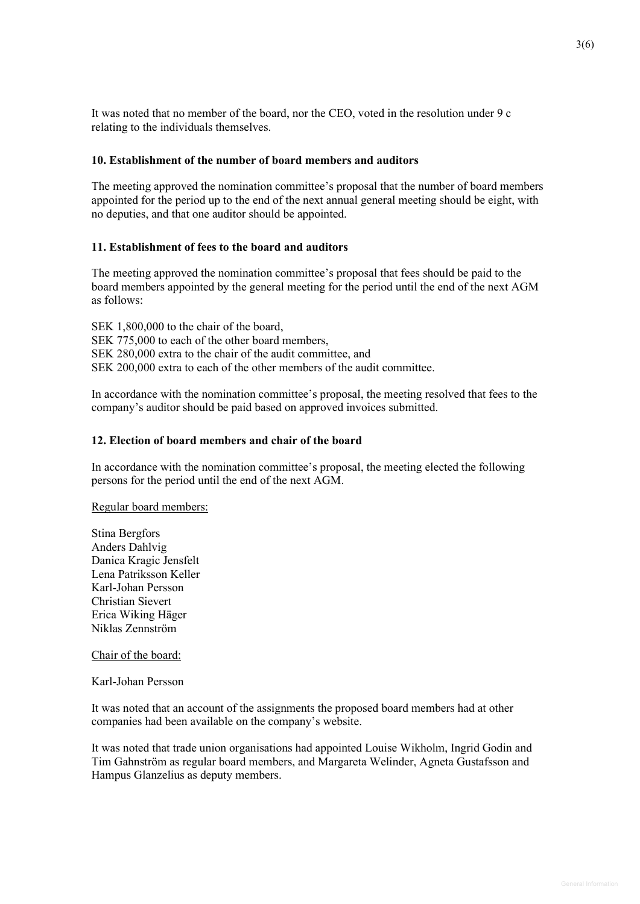It was noted that no member of the board, nor the CEO, voted in the resolution under 9 c relating to the individuals themselves.

#### **10. Establishment of the number of board members and auditors**

The meeting approved the nomination committee's proposal that the number of board members appointed for the period up to the end of the next annual general meeting should be eight, with no deputies, and that one auditor should be appointed.

#### **11. Establishment of fees to the board and auditors**

The meeting approved the nomination committee's proposal that fees should be paid to the board members appointed by the general meeting for the period until the end of the next AGM as follows:

SEK 1,800,000 to the chair of the board, SEK 775,000 to each of the other board members, SEK 280,000 extra to the chair of the audit committee, and SEK 200,000 extra to each of the other members of the audit committee.

In accordance with the nomination committee's proposal, the meeting resolved that fees to the company's auditor should be paid based on approved invoices submitted.

#### **12. Election of board members and chair of the board**

In accordance with the nomination committee's proposal, the meeting elected the following persons for the period until the end of the next AGM.

Regular board members:

Stina Bergfors Anders Dahlvig Danica Kragic Jensfelt Lena Patriksson Keller Karl-Johan Persson Christian Sievert Erica Wiking Häger Niklas Zennström

## Chair of the board:

Karl-Johan Persson

It was noted that an account of the assignments the proposed board members had at other companies had been available on the company's website.

It was noted that trade union organisations had appointed Louise Wikholm, Ingrid Godin and Tim Gahnström as regular board members, and Margareta Welinder, Agneta Gustafsson and Hampus Glanzelius as deputy members.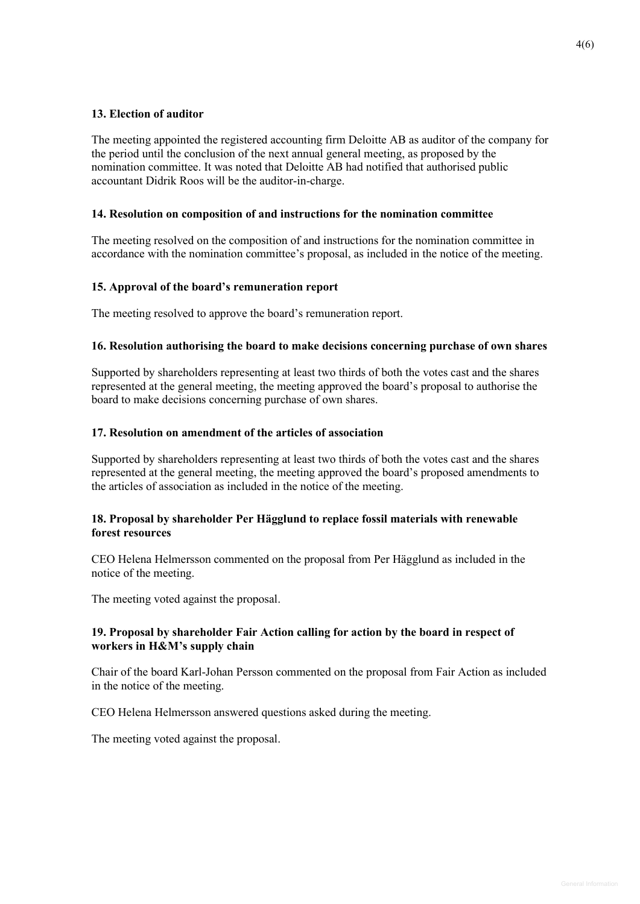# **13. Election of auditor**

The meeting appointed the registered accounting firm Deloitte AB as auditor of the company for the period until the conclusion of the next annual general meeting, as proposed by the nomination committee. It was noted that Deloitte AB had notified that authorised public accountant Didrik Roos will be the auditor-in-charge.

## **14. Resolution on composition of and instructions for the nomination committee**

The meeting resolved on the composition of and instructions for the nomination committee in accordance with the nomination committee's proposal, as included in the notice of the meeting.

## **15. Approval of the board's remuneration report**

The meeting resolved to approve the board's remuneration report.

## **16. Resolution authorising the board to make decisions concerning purchase of own shares**

Supported by shareholders representing at least two thirds of both the votes cast and the shares represented at the general meeting, the meeting approved the board's proposal to authorise the board to make decisions concerning purchase of own shares.

# **17. Resolution on amendment of the articles of association**

Supported by shareholders representing at least two thirds of both the votes cast and the shares represented at the general meeting, the meeting approved the board's proposed amendments to the articles of association as included in the notice of the meeting.

## **18. Proposal by shareholder Per Hägglund to replace fossil materials with renewable forest resources**

CEO Helena Helmersson commented on the proposal from Per Hägglund as included in the notice of the meeting.

The meeting voted against the proposal.

# **19. Proposal by shareholder Fair Action calling for action by the board in respect of workers in H&M's supply chain**

Chair of the board Karl-Johan Persson commented on the proposal from Fair Action as included in the notice of the meeting.

CEO Helena Helmersson answered questions asked during the meeting.

The meeting voted against the proposal.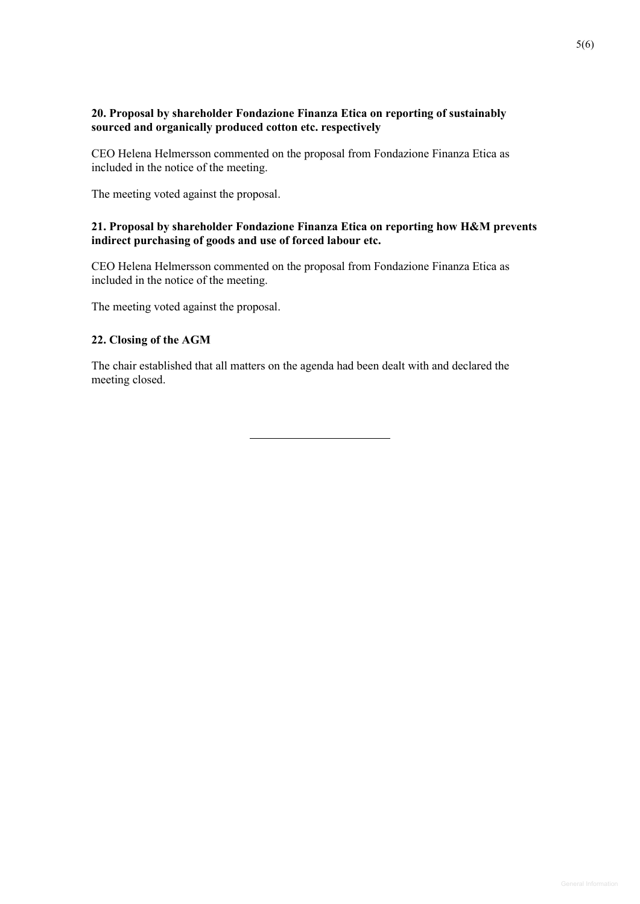# **20. Proposal by shareholder Fondazione Finanza Etica on reporting of sustainably sourced and organically produced cotton etc. respectively**

CEO Helena Helmersson commented on the proposal from Fondazione Finanza Etica as included in the notice of the meeting.

The meeting voted against the proposal.

# **21. Proposal by shareholder Fondazione Finanza Etica on reporting how H&M prevents indirect purchasing of goods and use of forced labour etc.**

CEO Helena Helmersson commented on the proposal from Fondazione Finanza Etica as included in the notice of the meeting.

The meeting voted against the proposal.

## **22. Closing of the AGM**

The chair established that all matters on the agenda had been dealt with and declared the meeting closed.